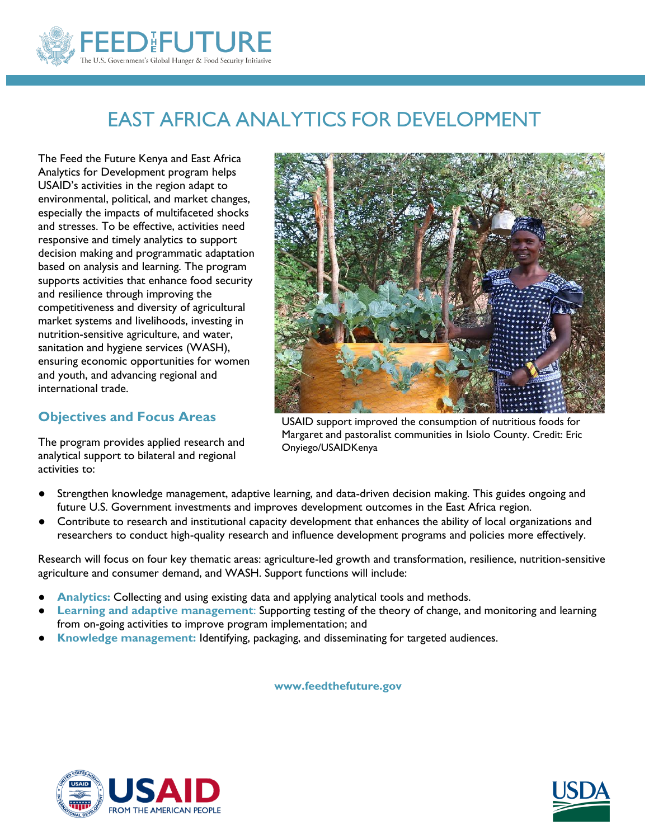

# EAST AFRICA ANALYTICS FOR DEVELOPMENT

The Feed the Future Kenya and East Africa Analytics for Development program helps USAID's activities in the region adapt to environmental, political, and market changes, especially the impacts of multifaceted shocks and stresses. To be effective, activities need responsive and timely analytics to support decision making and programmatic adaptation based on analysis and learning. The program supports activities that enhance food security and resilience through improving the competitiveness and diversity of agricultural market systems and livelihoods, investing in nutrition-sensitive agriculture, and water, sanitation and hygiene services (WASH), ensuring economic opportunities for women and youth, and advancing regional and international trade.

## **Objectives and Focus Areas**

The program provides applied research and analytical support to bilateral and regional activities to:



USAID support improved the consumption of nutritious foods for Margaret and pastoralist communities in Isiolo County. Credit: Eric Onyiego/USAIDKenya

- Strengthen knowledge management, adaptive learning, and data-driven decision making. This guides ongoing and future U.S. Government investments and improves development outcomes in the East Africa region.
- Contribute to research and institutional capacity development that enhances the ability of local organizations and researchers to conduct high-quality research and influence development programs and policies more effectively.

Research will focus on four key thematic areas: agriculture-led growth and transformation, resilience, nutrition-sensitive agriculture and consumer demand, and WASH. Support functions will include:

- Analytics: Collecting and using existing data and applying analytical tools and methods.
- **Learning and adaptive management:** Supporting testing of the theory of change, and monitoring and learning from on-going activities to improve program implementation; and
- **Knowledge management:** Identifying, packaging, and disseminating for targeted audiences.

 **www.feedthefuture.gov**